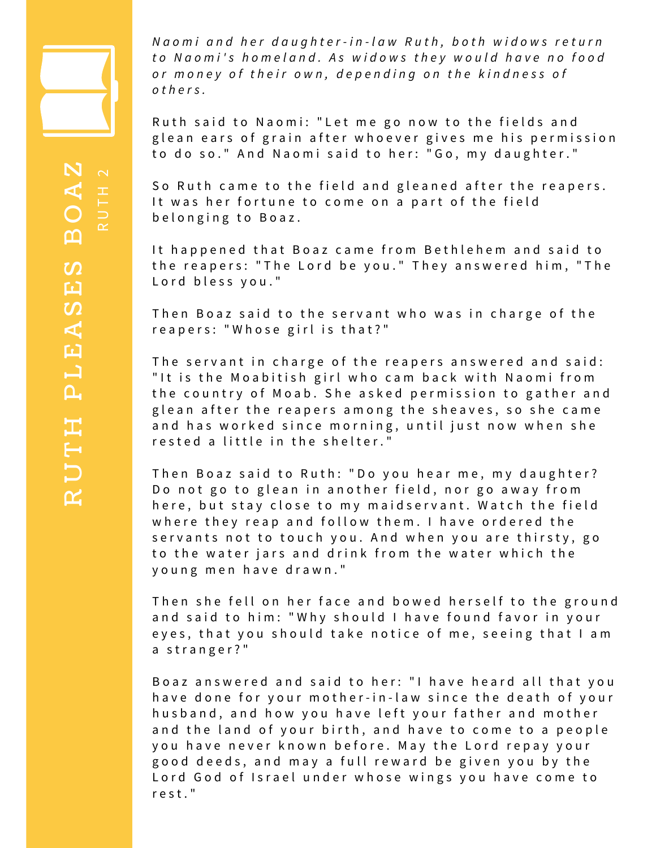Naomi and her daughter-in-law Ruth, both widows return to Naomi's homeland. As widows they would have no food or money of their own, depending on the kindness of  $of *hers*$ .

Ruth said to Naomi: "Let me go now to the fields and glean ears of grain after whoever gives me his permission to do so." And Naomi said to her: "Go, my daughter."

So Ruth came to the field and gleaned after the reapers. It was her fortune to come on a part of the field belonging to Boaz.

It happened that Boaz came from Bethlehem and said to the reapers: "The Lord be you." They answered him, "The Lord bless you."

Then Boaz said to the servant who was in charge of the reapers: "Whose girl is that?"

The servant in charge of the reapers answered and said: "It is the Moabitish girl who cam back with Naomi from the country of Moab. She asked permission to gather and glean after the reapers among the sheaves, so she came and has worked since morning, until just now when she rested a little in the shelter."

Then Boaz said to Ruth: "Do you hear me, my daughter? Do not go to glean in another field, nor go away from here, but stay close to my maidservant. Watch the field where they reap and follow them. I have ordered the servants not to touch you. And when you are thirsty, go to the water jars and drink from the water which the young men have drawn."

Then she fell on her face and bowed herself to the ground and said to him: "Why should I have found favor in your eyes, that you should take notice of me, seeing that I am a stranger?"

Boaz answered and said to her: "I have heard all that you have done for your mother-in-law since the death of your husband, and how you have left your father and mother and the land of your birth, and have to come to a people you have never known before. May the Lord repay your good deeds, and may a full reward be given you by the Lord God of Israel under whose wings you have come to r e s t . "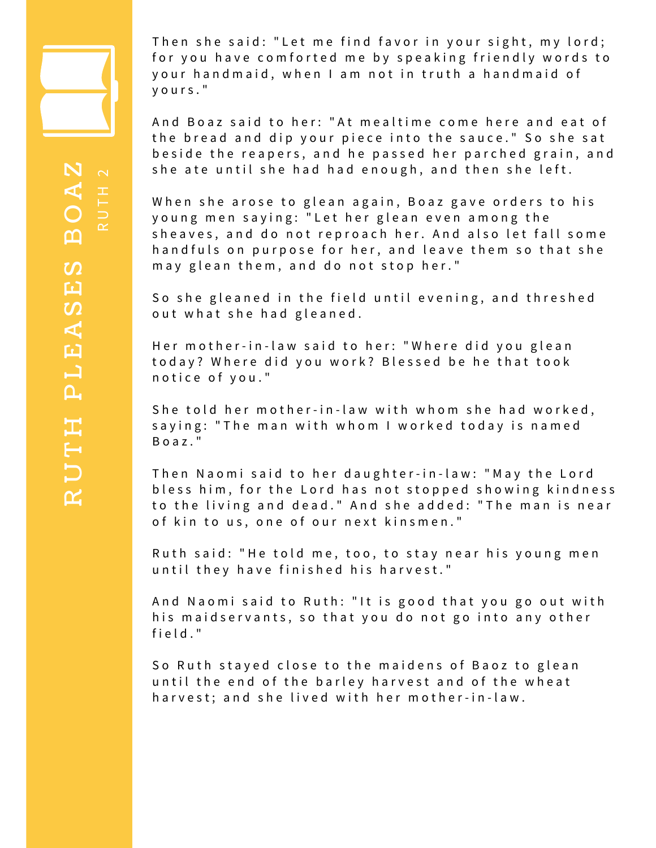

 $\propto$ 

 $\vdash$ 

Then she said: "Let me find favor in your sight, my lord; for you have comforted me by speaking friendly words to your handmaid, when I am not in truth a handmaid of vours."

And Boaz said to her: "At mealtime come here and eat of the bread and dip your piece into the sauce." So she sat beside the reapers, and he passed her parched grain, and she ate until she had had enough, and then she left.

When she arose to glean again, Boaz gave orders to his young men saying: "Let her glean even among the sheaves, and do not reproach her. And also let fall some h and fuls on purpose for her, and leave them so that she may glean them, and do not stop her."

So she gleaned in the field until evening, and threshed out what she had gleaned.

Her mother-in-law said to her: "Where did you glean today? Where did you work? Blessed be he that took notice of you."

She told her mother-in-law with whom she had worked, saying: "The man with whom I worked today is named B o a z . "

Then Naomi said to her daughter-in-law: "May the Lord bless him, for the Lord has not stopped showing kindness to the living and dead." And she added: "The man is near of kin to us, one of our next kinsmen."

Ruth said: "He told me, too, to stay near his young men until they have finished his harvest."

And Naomi said to Ruth: "It is good that you go out with his maidservants, so that you do not go into any other f i e l d . "

So Ruth stayed close to the maidens of Baoz to glean until the end of the barley harvest and of the wheat harvest; and she lived with her mother-in-law.